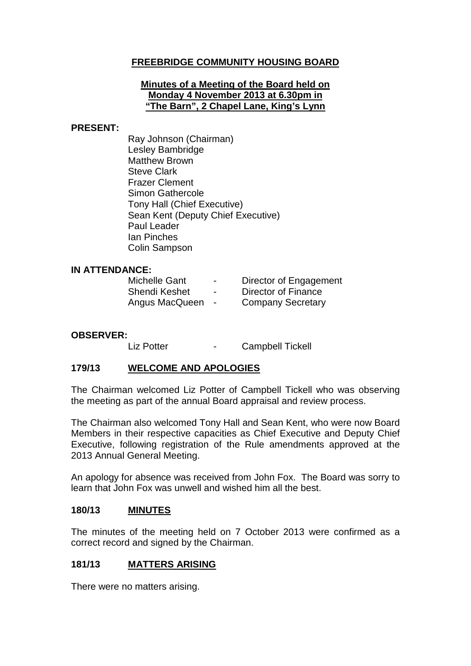# **FREEBRIDGE COMMUNITY HOUSING BOARD**

#### **Minutes of a Meeting of the Board held on Monday 4 November 2013 at 6.30pm in "The Barn", 2 Chapel Lane, King's Lynn**

#### **PRESENT:**

Ray Johnson (Chairman) Lesley Bambridge Matthew Brown Steve Clark Frazer Clement Simon Gathercole Tony Hall (Chief Executive) Sean Kent (Deputy Chief Executive) Paul Leader Ian Pinches Colin Sampson

#### **IN ATTENDANCE:**

| <b>Michelle Gant</b> | $\blacksquare$ | <b>Director of Engagement</b> |
|----------------------|----------------|-------------------------------|
| <b>Shendi Keshet</b> | $\blacksquare$ | Director of Finance           |
| Angus MacQueen       | $\blacksquare$ | <b>Company Secretary</b>      |

# **OBSERVER:**

- Campbell Tickell

#### **179/13 WELCOME AND APOLOGIES**

The Chairman welcomed Liz Potter of Campbell Tickell who was observing the meeting as part of the annual Board appraisal and review process.

The Chairman also welcomed Tony Hall and Sean Kent, who were now Board Members in their respective capacities as Chief Executive and Deputy Chief Executive, following registration of the Rule amendments approved at the 2013 Annual General Meeting.

An apology for absence was received from John Fox. The Board was sorry to learn that John Fox was unwell and wished him all the best.

#### **180/13 MINUTES**

The minutes of the meeting held on 7 October 2013 were confirmed as a correct record and signed by the Chairman.

#### **181/13 MATTERS ARISING**

There were no matters arising.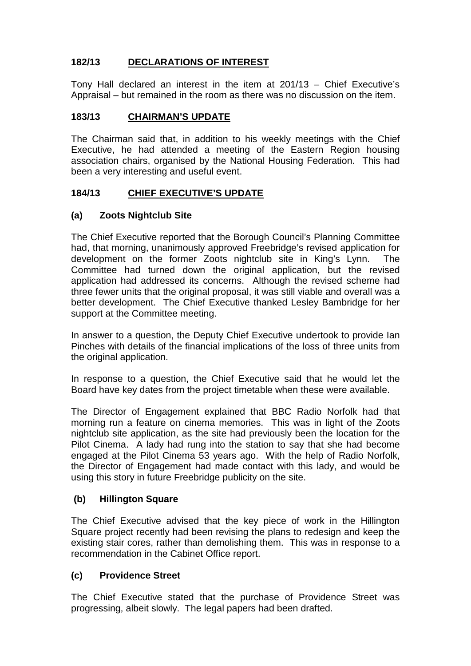# **182/13 DECLARATIONS OF INTEREST**

Tony Hall declared an interest in the item at 201/13 – Chief Executive's Appraisal – but remained in the room as there was no discussion on the item.

## **183/13 CHAIRMAN'S UPDATE**

The Chairman said that, in addition to his weekly meetings with the Chief Executive, he had attended a meeting of the Eastern Region housing association chairs, organised by the National Housing Federation. This had been a very interesting and useful event.

#### **184/13 CHIEF EXECUTIVE'S UPDATE**

## **(a) Zoots Nightclub Site**

The Chief Executive reported that the Borough Council's Planning Committee had, that morning, unanimously approved Freebridge's revised application for development on the former Zoots nightclub site in King's Lynn. The Committee had turned down the original application, but the revised application had addressed its concerns. Although the revised scheme had three fewer units that the original proposal, it was still viable and overall was a better development. The Chief Executive thanked Lesley Bambridge for her support at the Committee meeting.

In answer to a question, the Deputy Chief Executive undertook to provide Ian Pinches with details of the financial implications of the loss of three units from the original application.

In response to a question, the Chief Executive said that he would let the Board have key dates from the project timetable when these were available.

The Director of Engagement explained that BBC Radio Norfolk had that morning run a feature on cinema memories. This was in light of the Zoots nightclub site application, as the site had previously been the location for the Pilot Cinema. A lady had rung into the station to say that she had become engaged at the Pilot Cinema 53 years ago. With the help of Radio Norfolk, the Director of Engagement had made contact with this lady, and would be using this story in future Freebridge publicity on the site.

#### **(b) Hillington Square**

The Chief Executive advised that the key piece of work in the Hillington Square project recently had been revising the plans to redesign and keep the existing stair cores, rather than demolishing them. This was in response to a recommendation in the Cabinet Office report.

#### **(c) Providence Street**

The Chief Executive stated that the purchase of Providence Street was progressing, albeit slowly. The legal papers had been drafted.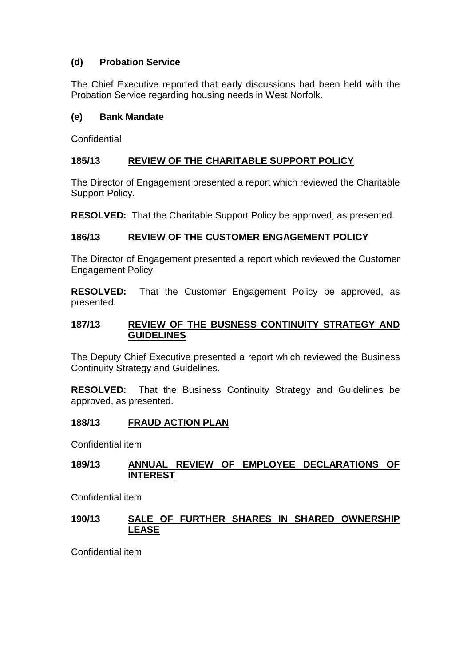# **(d) Probation Service**

The Chief Executive reported that early discussions had been held with the Probation Service regarding housing needs in West Norfolk.

## **(e) Bank Mandate**

**Confidential** 

# **185/13 REVIEW OF THE CHARITABLE SUPPORT POLICY**

The Director of Engagement presented a report which reviewed the Charitable Support Policy.

**RESOLVED:** That the Charitable Support Policy be approved, as presented.

## **186/13 REVIEW OF THE CUSTOMER ENGAGEMENT POLICY**

The Director of Engagement presented a report which reviewed the Customer Engagement Policy.

**RESOLVED:** That the Customer Engagement Policy be approved, as presented.

#### **187/13 REVIEW OF THE BUSNESS CONTINUITY STRATEGY AND GUIDELINES**

The Deputy Chief Executive presented a report which reviewed the Business Continuity Strategy and Guidelines.

**RESOLVED:** That the Business Continuity Strategy and Guidelines be approved, as presented.

# **188/13 FRAUD ACTION PLAN**

Confidential item

## **189/13 ANNUAL REVIEW OF EMPLOYEE DECLARATIONS OF INTEREST**

Confidential item

## **190/13 SALE OF FURTHER SHARES IN SHARED OWNERSHIP LEASE**

Confidential item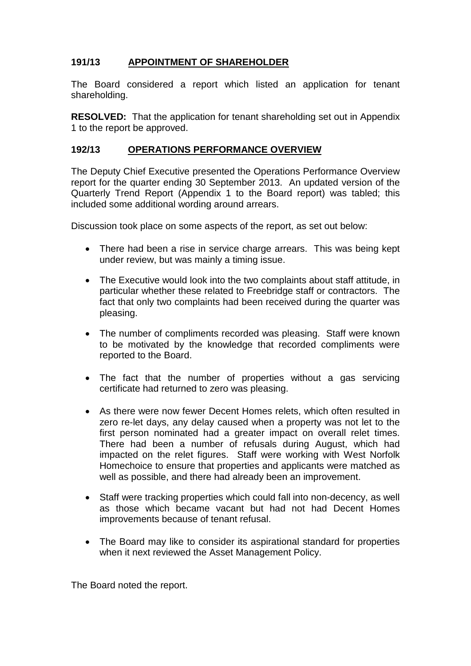# **191/13 APPOINTMENT OF SHAREHOLDER**

The Board considered a report which listed an application for tenant shareholding.

**RESOLVED:** That the application for tenant shareholding set out in Appendix 1 to the report be approved.

#### **192/13 OPERATIONS PERFORMANCE OVERVIEW**

The Deputy Chief Executive presented the Operations Performance Overview report for the quarter ending 30 September 2013. An updated version of the Quarterly Trend Report (Appendix 1 to the Board report) was tabled; this included some additional wording around arrears.

Discussion took place on some aspects of the report, as set out below:

- There had been a rise in service charge arrears. This was being kept under review, but was mainly a timing issue.
- The Executive would look into the two complaints about staff attitude, in particular whether these related to Freebridge staff or contractors. The fact that only two complaints had been received during the quarter was pleasing.
- The number of compliments recorded was pleasing. Staff were known to be motivated by the knowledge that recorded compliments were reported to the Board.
- The fact that the number of properties without a gas servicing certificate had returned to zero was pleasing.
- As there were now fewer Decent Homes relets, which often resulted in zero re-let days, any delay caused when a property was not let to the first person nominated had a greater impact on overall relet times. There had been a number of refusals during August, which had impacted on the relet figures. Staff were working with West Norfolk Homechoice to ensure that properties and applicants were matched as well as possible, and there had already been an improvement.
- Staff were tracking properties which could fall into non-decency, as well as those which became vacant but had not had Decent Homes improvements because of tenant refusal.
- The Board may like to consider its aspirational standard for properties when it next reviewed the Asset Management Policy.

The Board noted the report.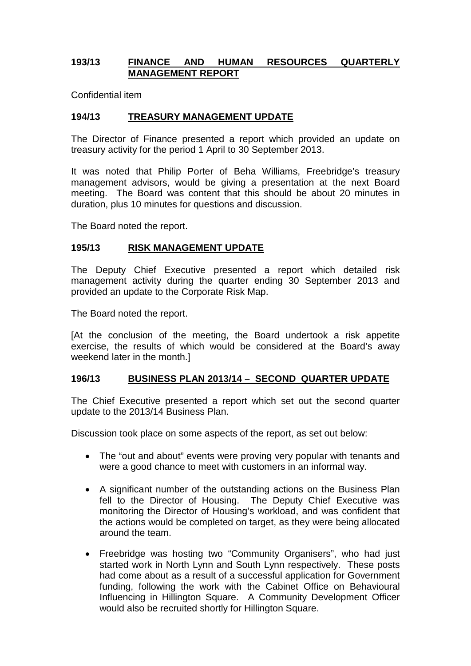#### **193/13 FINANCE AND HUMAN RESOURCES QUARTERLY MANAGEMENT REPORT**

Confidential item

## **194/13 TREASURY MANAGEMENT UPDATE**

The Director of Finance presented a report which provided an update on treasury activity for the period 1 April to 30 September 2013.

It was noted that Philip Porter of Beha Williams, Freebridge's treasury management advisors, would be giving a presentation at the next Board meeting. The Board was content that this should be about 20 minutes in duration, plus 10 minutes for questions and discussion.

The Board noted the report.

#### **195/13 RISK MANAGEMENT UPDATE**

The Deputy Chief Executive presented a report which detailed risk management activity during the quarter ending 30 September 2013 and provided an update to the Corporate Risk Map.

The Board noted the report.

[At the conclusion of the meeting, the Board undertook a risk appetite exercise, the results of which would be considered at the Board's away weekend later in the month.]

#### **196/13 BUSINESS PLAN 2013/14 – SECOND QUARTER UPDATE**

The Chief Executive presented a report which set out the second quarter update to the 2013/14 Business Plan.

Discussion took place on some aspects of the report, as set out below:

- The "out and about" events were proving very popular with tenants and were a good chance to meet with customers in an informal way.
- A significant number of the outstanding actions on the Business Plan fell to the Director of Housing. The Deputy Chief Executive was monitoring the Director of Housing's workload, and was confident that the actions would be completed on target, as they were being allocated around the team.
- Freebridge was hosting two "Community Organisers", who had just started work in North Lynn and South Lynn respectively. These posts had come about as a result of a successful application for Government funding, following the work with the Cabinet Office on Behavioural Influencing in Hillington Square. A Community Development Officer would also be recruited shortly for Hillington Square.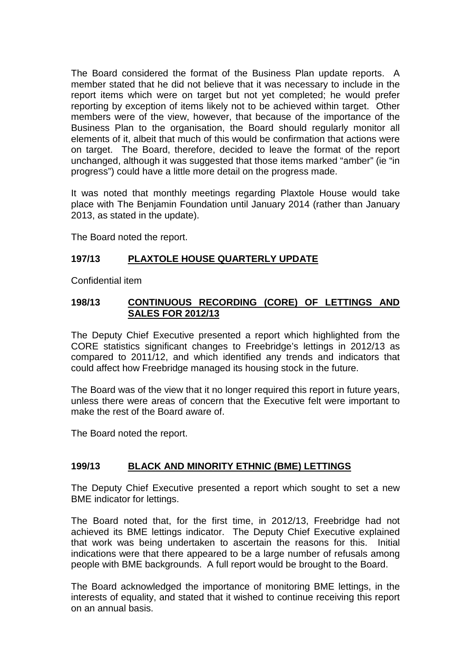The Board considered the format of the Business Plan update reports. A member stated that he did not believe that it was necessary to include in the report items which were on target but not yet completed; he would prefer reporting by exception of items likely not to be achieved within target. Other members were of the view, however, that because of the importance of the Business Plan to the organisation, the Board should regularly monitor all elements of it, albeit that much of this would be confirmation that actions were on target. The Board, therefore, decided to leave the format of the report unchanged, although it was suggested that those items marked "amber" (ie "in progress") could have a little more detail on the progress made.

It was noted that monthly meetings regarding Plaxtole House would take place with The Benjamin Foundation until January 2014 (rather than January 2013, as stated in the update).

The Board noted the report.

# **197/13 PLAXTOLE HOUSE QUARTERLY UPDATE**

Confidential item

#### **198/13 CONTINUOUS RECORDING (CORE) OF LETTINGS AND SALES FOR 2012/13**

The Deputy Chief Executive presented a report which highlighted from the CORE statistics significant changes to Freebridge's lettings in 2012/13 as compared to 2011/12, and which identified any trends and indicators that could affect how Freebridge managed its housing stock in the future.

The Board was of the view that it no longer required this report in future years, unless there were areas of concern that the Executive felt were important to make the rest of the Board aware of.

The Board noted the report.

# **199/13 BLACK AND MINORITY ETHNIC (BME) LETTINGS**

The Deputy Chief Executive presented a report which sought to set a new BME indicator for lettings.

The Board noted that, for the first time, in 2012/13, Freebridge had not achieved its BME lettings indicator. The Deputy Chief Executive explained that work was being undertaken to ascertain the reasons for this. Initial indications were that there appeared to be a large number of refusals among people with BME backgrounds. A full report would be brought to the Board.

The Board acknowledged the importance of monitoring BME lettings, in the interests of equality, and stated that it wished to continue receiving this report on an annual basis.